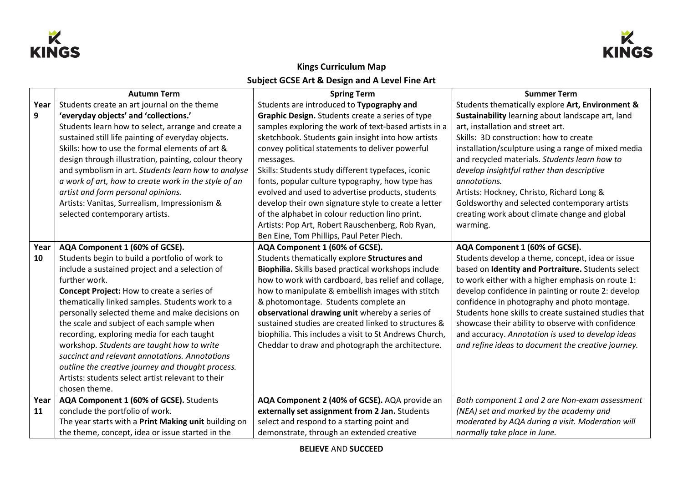



## **Kings Curriculum Map Subject GCSE Art & Design and A Level Fine Art**

|      | <b>Autumn Term</b>                                   | <b>Spring Term</b>                                     | <b>Summer Term</b>                                    |
|------|------------------------------------------------------|--------------------------------------------------------|-------------------------------------------------------|
| Year | Students create an art journal on the theme          | Students are introduced to Typography and              | Students thematically explore Art, Environment &      |
| 9    | 'everyday objects' and 'collections.'                | Graphic Design. Students create a series of type       | Sustainability learning about landscape art, land     |
|      | Students learn how to select, arrange and create a   | samples exploring the work of text-based artists in a  | art, installation and street art.                     |
|      | sustained still life painting of everyday objects.   | sketchbook. Students gain insight into how artists     | Skills: 3D construction: how to create                |
|      | Skills: how to use the formal elements of art &      | convey political statements to deliver powerful        | installation/sculpture using a range of mixed media   |
|      | design through illustration, painting, colour theory | messages.                                              | and recycled materials. Students learn how to         |
|      | and symbolism in art. Students learn how to analyse  | Skills: Students study different typefaces, iconic     | develop insightful rather than descriptive            |
|      | a work of art, how to create work in the style of an | fonts, popular culture typography, how type has        | annotations.                                          |
|      | artist and form personal opinions.                   | evolved and used to advertise products, students       | Artists: Hockney, Christo, Richard Long &             |
|      | Artists: Vanitas, Surrealism, Impressionism &        | develop their own signature style to create a letter   | Goldsworthy and selected contemporary artists         |
|      | selected contemporary artists.                       | of the alphabet in colour reduction lino print.        | creating work about climate change and global         |
|      |                                                      | Artists: Pop Art, Robert Rauschenberg, Rob Ryan,       | warming.                                              |
|      |                                                      | Ben Eine, Tom Phillips, Paul Peter Piech.              |                                                       |
| Year | AQA Component 1 (60% of GCSE).                       | AQA Component 1 (60% of GCSE).                         | AQA Component 1 (60% of GCSE).                        |
| 10   | Students begin to build a portfolio of work to       | Students thematically explore Structures and           | Students develop a theme, concept, idea or issue      |
|      | include a sustained project and a selection of       | Biophilia. Skills based practical workshops include    | based on Identity and Portraiture. Students select    |
|      | further work.                                        | how to work with cardboard, bas relief and collage,    | to work either with a higher emphasis on route 1:     |
|      | <b>Concept Project: How to create a series of</b>    | how to manipulate & embellish images with stitch       | develop confidence in painting or route 2: develop    |
|      | thematically linked samples. Students work to a      | & photomontage. Students complete an                   | confidence in photography and photo montage.          |
|      | personally selected theme and make decisions on      | observational drawing unit whereby a series of         | Students hone skills to create sustained studies that |
|      | the scale and subject of each sample when            | sustained studies are created linked to structures &   | showcase their ability to observe with confidence     |
|      | recording, exploring media for each taught           | biophilia. This includes a visit to St Andrews Church, | and accuracy. Annotation is used to develop ideas     |
|      | workshop. Students are taught how to write           | Cheddar to draw and photograph the architecture.       | and refine ideas to document the creative journey.    |
|      | succinct and relevant annotations. Annotations       |                                                        |                                                       |
|      | outline the creative journey and thought process.    |                                                        |                                                       |
|      | Artists: students select artist relevant to their    |                                                        |                                                       |
|      | chosen theme.                                        |                                                        |                                                       |
| Year | AQA Component 1 (60% of GCSE). Students              | AQA Component 2 (40% of GCSE). AQA provide an          | Both component 1 and 2 are Non-exam assessment        |
| 11   | conclude the portfolio of work.                      | externally set assignment from 2 Jan. Students         | (NEA) set and marked by the academy and               |
|      | The year starts with a Print Making unit building on | select and respond to a starting point and             | moderated by AQA during a visit. Moderation will      |
|      | the theme, concept, idea or issue started in the     | demonstrate, through an extended creative              | normally take place in June.                          |